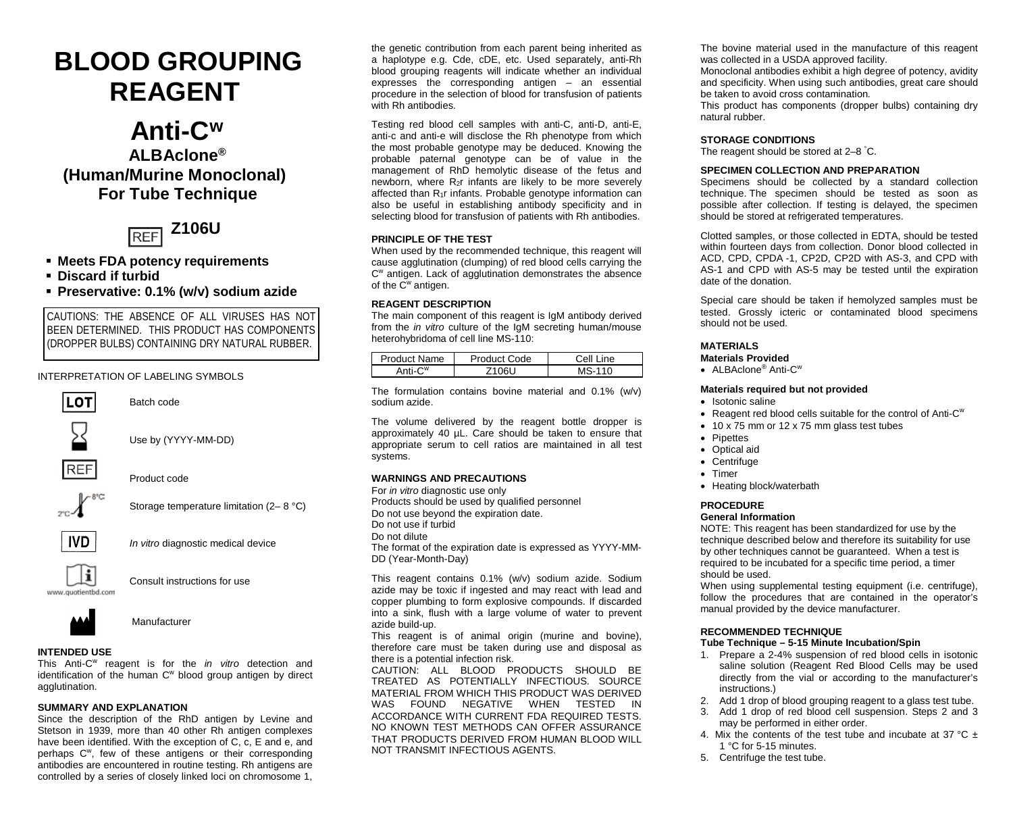# **BLOOD GROUPING REAGENT**

# **Anti-Cw**

**ALBAclone® (Human/Murine Monoclonal) For Tube Technique**



- **Meets FDA potency requirements**
- **Discard if turbid**
- **Preservative: 0.1% (w/v) sodium azide**

CAUTIONS: THE ABSENCE OF ALL VIRUSES HAS NOT BEEN DETERMINED. THIS PRODUCT HAS COMPONENTS (DROPPER BULBS) CONTAINING DRY NATURAL RUBBER.



# **INTENDED USE**

This Anti-Cw reagent is for the *in vitro* detection and identification of the human C<sup>w</sup> blood group antigen by direct agglutination.

# **SUMMARY AND EXPLANATION**

Since the description of the RhD antigen by Levine and Stetson in 1939, more than 40 other Rh antigen complexes have been identified. With the exception of C, c, E and e, and perhaps C<sup>w</sup>, few of these antigens or their corresponding antibodies are encountered in routine testing. Rh antigens are controlled by a series of closely linked loci on chromosome 1, the genetic contribution from each parent being inherited as a haplotype e.g. Cde, cDE, etc. Used separately, anti-Rh blood grouping reagents will indicate whether an individual expresses the corresponding antigen – an essential procedure in the selection of blood for transfusion of patients with Rh antibodies.

Testing red blood cell samples with anti-C, anti-D, anti-E, anti-c and anti-e will disclose the Rh phenotype from which the most probable genotype may be deduced. Knowing the probable paternal genotype can be of value in the management of RhD hemolytic disease of the fetus and newborn, where  $R_{2}r$  infants are likely to be more severely affected than R<sub>1</sub>r infants. Probable genotype information can also be useful in establishing antibody specificity and in selecting blood for transfusion of patients with Rh antibodies.

#### **PRINCIPLE OF THE TEST**

When used by the recommended technique, this reagent will cause agglutination (clumping) of red blood cells carrying the C<sup>w</sup> antigen. Lack of agglutination demonstrates the absence of the  $C^w$  antigen.

### **REAGENT DESCRIPTION**

The main component of this reagent is IgM antibody derived from the *in vitro* culture of the IgM secreting human/mouse heterohybridoma of cell line MS-110:

| <b>Product Name</b> | <b>Product Code</b> | Cell Line |
|---------------------|---------------------|-----------|
| Anti-C <sup>w</sup> | '106LI              | 10        |

The formulation contains bovine material and 0.1% (w/v) sodium azide.

The volume delivered by the reagent bottle dropper is approximately 40 µL. Care should be taken to ensure that appropriate serum to cell ratios are maintained in all test systems.

#### **WARNINGS AND PRECAUTIONS**

For *in vitro* diagnostic use only Products should be used by qualified personnel Do not use beyond the expiration date. Do not use if turbid Do not dilute The format of the expiration date is expressed as YYYY-MM-DD (Year-Month-Day)

This reagent contains 0.1% (w/v) sodium azide. Sodium azide may be toxic if ingested and may react with lead and copper plumbing to form explosive compounds. If discarded into a sink, flush with a large volume of water to prevent azide build-up.

This reagent is of animal origin (murine and bovine), therefore care must be taken during use and disposal as there is a potential infection risk.

CAUTION: ALL BLOOD PRODUCTS SHOULD BE TREATED AS POTENTIALLY INFECTIOUS. SOURCE MATERIAL FROM WHICH THIS PRODUCT WAS DERIVED WAS FOUND NEGATIVE WHEN TESTED IN ACCORDANCE WITH CURRENT FDA REQUIRED TESTS. NO KNOWN TEST METHODS CAN OFFER ASSURANCE THAT PRODUCTS DERIVED FROM HUMAN BLOOD WILL NOT TRANSMIT INFECTIOUS AGENTS.

The bovine material used in the manufacture of this reagent was collected in a USDA approved facility.

Monoclonal antibodies exhibit a high degree of potency, avidity and specificity. When using such antibodies, great care should be taken to avoid cross contamination*.*

This product has components (dropper bulbs) containing dry natural rubber.

#### **STORAGE CONDITIONS**

The reagent should be stored at 2–8 ° C.

#### **SPECIMEN COLLECTION AND PREPARATION**

Specimens should be collected by a standard collection technique. The specimen should be tested as soon as possible after collection. If testing is delayed, the specimen should be stored at refrigerated temperatures.

Clotted samples, or those collected in EDTA, should be tested within fourteen days from collection. Donor blood collected in ACD, CPD, CPDA -1, CP2D, CP2D with AS-3, and CPD with AS-1 and CPD with AS-5 may be tested until the expiration date of the donation.

Special care should be taken if hemolyzed samples must be tested. Grossly icteric or contaminated blood specimens should not be used.

# **MATERIALS**

- **Materials Provided**
- ALBAclone<sup>®</sup> Anti-C<sup>w</sup>

#### **Materials required but not provided**

- Isotonic saline
- Reagent red blood cells suitable for the control of Anti-C<sup>w</sup>
- 10 x 75 mm or 12 x 75 mm glass test tubes
- Pipettes
- Optical aid
- Centrifuge
- Timer
- Heating block/waterbath

#### **PROCEDURE**

#### **General Information**

NOTE: This reagent has been standardized for use by the technique described below and therefore its suitability for use by other techniques cannot be guaranteed. When a test is required to be incubated for a specific time period, a timer should be used.

When using supplemental testing equipment (i.e. centrifuge), follow the procedures that are contained in the operator's manual provided by the device manufacturer.

#### **RECOMMENDED TECHNIQUE**

#### **Tube Technique – 5-15 Minute Incubation/Spin**

- 1. Prepare a 2-4% suspension of red blood cells in isotonic saline solution (Reagent Red Blood Cells may be used directly from the vial or according to the manufacturer's instructions.)
- 2. Add 1 drop of blood grouping reagent to a glass test tube.
- 3. Add 1 drop of red blood cell suspension. Steps 2 and 3 may be performed in either order.
- 4. Mix the contents of the test tube and incubate at 37  $^{\circ}$ C  $\pm$ 1 °C for 5-15 minutes.
- 5. Centrifuge the test tube.